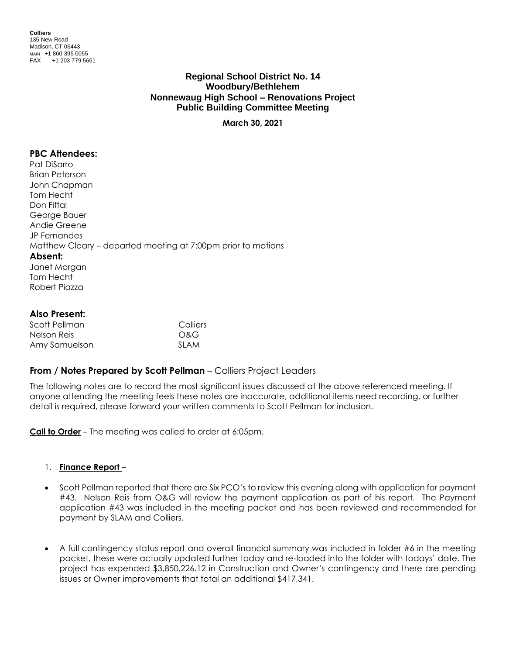**Colliers** 135 New Road Madison, CT 06443 MAIN +1 860 395 0055 FAX +1 203 779 5661

# **Regional School District No. 14 Woodbury/Bethlehem Nonnewaug High School – Renovations Project Public Building Committee Meeting**

**March 30, 2021**

# **PBC Attendees:**

Pat DiSarro Brian Peterson John Chapman Tom Hecht Don Fiftal George Bauer Andie Greene JP Fernandes Matthew Cleary – departed meeting at 7:00pm prior to motions **Absent:** Janet Morgan Tom Hecht Robert Piazza

# **Also Present:**

| Scott Pellman | Colliers    |
|---------------|-------------|
| Nelson Reis   | O&G         |
| Amy Samuelson | <b>SLAM</b> |

# **From / Notes Prepared by Scott Pellman** – Colliers Project Leaders

The following notes are to record the most significant issues discussed at the above referenced meeting. If anyone attending the meeting feels these notes are inaccurate, additional items need recording, or further detail is required, please forward your written comments to Scott Pellman for inclusion.

**Call to Order** – The meeting was called to order at 6:05pm.

### 1. **Finance Report** –

- Scott Pellman reported that there are Six PCO's to review this evening along with application for payment #43. Nelson Reis from O&G will review the payment application as part of his report. The Payment application #43 was included in the meeting packet and has been reviewed and recommended for payment by SLAM and Colliers.
- A full contingency status report and overall financial summary was included in folder #6 in the meeting packet, these were actually updated further today and re-loaded into the folder with todays' date. The project has expended \$3,850,226.12 in Construction and Owner's contingency and there are pending issues or Owner improvements that total an additional \$417,341.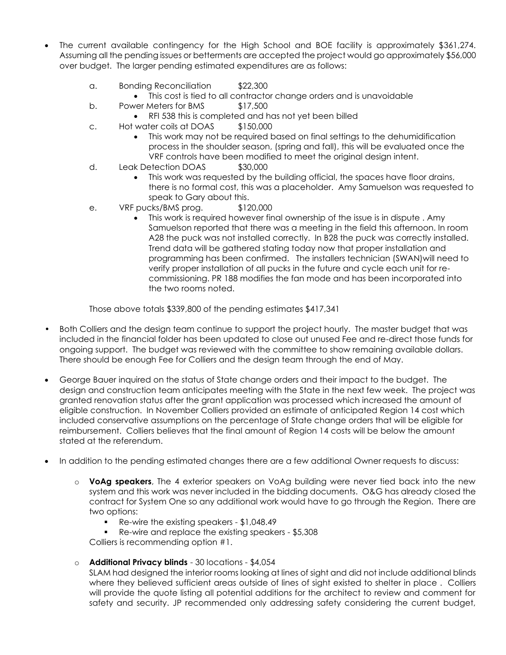- The current available contingency for the High School and BOE facility is approximately \$361,274. Assuming all the pending issues or betterments are accepted the project would go approximately \$56,000 over budget. The larger pending estimated expenditures are as follows:
	- a. Bonding Reconciliation \$22,300
		- This cost is tied to all contractor change orders and is unavoidable
	- b. Power Meters for BMS \$17,500
		- RFI 538 this is completed and has not yet been billed
	- c. Hot water coils at DOAS \$150,000
		- This work may not be required based on final settings to the dehumidification process in the shoulder season, (spring and fall), this will be evaluated once the VRF controls have been modified to meet the original design intent.
	- d. Leak Detection DOAS \$30,000
		- This work was requested by the building official, the spaces have floor drains, there is no formal cost, this was a placeholder. Amy Samuelson was requested to speak to Gary about this.
	- e. VRF pucks/BMS prog. \$120,000
		- This work is required however final ownership of the issue is in dispute . Amy Samuelson reported that there was a meeting in the field this afternoon. In room A28 the puck was not installed correctly. In B28 the puck was correctly installed. Trend data will be gathered stating today now that proper installation and programming has been confirmed. The installers technician (SWAN)will need to verify proper installation of all pucks in the future and cycle each unit for recommissioning. PR 188 modifies the fan mode and has been incorporated into the two rooms noted.

Those above totals \$339,800 of the pending estimates \$417,341

- Both Colliers and the design team continue to support the project hourly. The master budget that was included in the financial folder has been updated to close out unused Fee and re-direct those funds for ongoing support. The budget was reviewed with the committee to show remaining available dollars. There should be enough Fee for Colliers and the design team through the end of May.
- George Bauer inquired on the status of State change orders and their impact to the budget. The design and construction team anticipates meeting with the State in the next few week. The project was granted renovation status after the grant application was processed which increased the amount of eligible construction. In November Colliers provided an estimate of anticipated Region 14 cost which included conservative assumptions on the percentage of State change orders that will be eligible for reimbursement. Colliers believes that the final amount of Region 14 costs will be below the amount stated at the referendum.
- In addition to the pending estimated changes there are a few additional Owner requests to discuss:
	- o **VoAg speakers**, The 4 exterior speakers on VoAg building were never tied back into the new system and this work was never included in the bidding documents. O&G has already closed the contract for System One so any additional work would have to go through the Region. There are two options:
		- Re-wire the existing speakers \$1,048.49
		- Re-wire and replace the existing speakers \$5,308

Colliers is recommending option #1.

o **Additional Privacy blinds** - 30 locations - \$4,054

SLAM had designed the interior rooms looking at lines of sight and did not include additional blinds where they believed sufficient areas outside of lines of sight existed to shelter in place . Colliers will provide the quote listing all potential additions for the architect to review and comment for safety and security. JP recommended only addressing safety considering the current budget,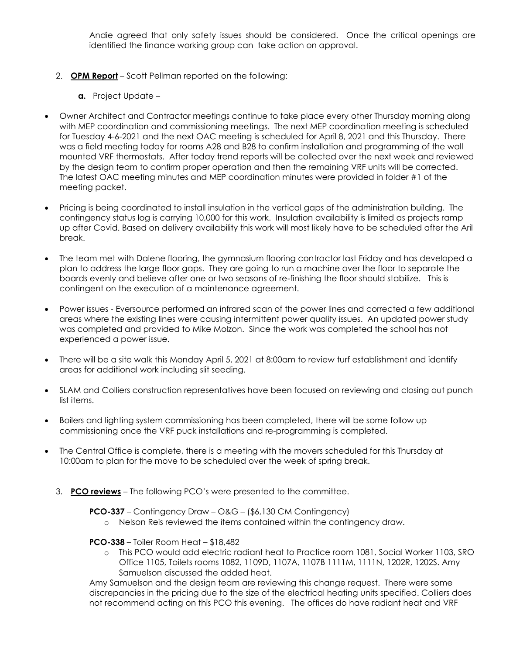Andie agreed that only safety issues should be considered. Once the critical openings are identified the finance working group can take action on approval.

- 2. **OPM Report** Scott Pellman reported on the following:
	- **a.** Project Update –
- Owner Architect and Contractor meetings continue to take place every other Thursday morning along with MEP coordination and commissioning meetings. The next MEP coordination meeting is scheduled for Tuesday 4-6-2021 and the next OAC meeting is scheduled for April 8, 2021 and this Thursday. There was a field meeting today for rooms A28 and B28 to confirm installation and programming of the wall mounted VRF thermostats. After today trend reports will be collected over the next week and reviewed by the design team to confirm proper operation and then the remaining VRF units will be corrected. The latest OAC meeting minutes and MEP coordination minutes were provided in folder #1 of the meeting packet.
- Pricing is being coordinated to install insulation in the vertical gaps of the administration building. The contingency status log is carrying 10,000 for this work. Insulation availability is limited as projects ramp up after Covid. Based on delivery availability this work will most likely have to be scheduled after the Aril break.
- The team met with Dalene flooring, the gymnasium flooring contractor last Friday and has developed a plan to address the large floor gaps. They are going to run a machine over the floor to separate the boards evenly and believe after one or two seasons of re-finishing the floor should stabilize. This is contingent on the execution of a maintenance agreement.
- Power issues Eversource performed an infrared scan of the power lines and corrected a few additional areas where the existing lines were causing intermittent power quality issues. An updated power study was completed and provided to Mike Molzon. Since the work was completed the school has not experienced a power issue.
- There will be a site walk this Monday April 5, 2021 at 8:00am to review turf establishment and identify areas for additional work including slit seeding.
- SLAM and Colliers construction representatives have been focused on reviewing and closing out punch list items.
- Boilers and lighting system commissioning has been completed, there will be some follow up commissioning once the VRF puck installations and re-programming is completed.
- The Central Office is complete, there is a meeting with the movers scheduled for this Thursday at 10:00am to plan for the move to be scheduled over the week of spring break.
	- 3. **PCO reviews** The following PCO's were presented to the committee.

**PCO-337** – Contingency Draw – O&G – (\$6,130 CM Contingency)

o Nelson Reis reviewed the items contained within the contingency draw.

### **PCO-338** – Toiler Room Heat – \$18,482

o This PCO would add electric radiant heat to Practice room 1081, Social Worker 1103, SRO Office 1105, Toilets rooms 1082, 1109D, 1107A, 1107B 1111M, 1111N, 1202R, 1202S. Amy Samuelson discussed the added heat.

Amy Samuelson and the design team are reviewing this change request. There were some discrepancies in the pricing due to the size of the electrical heating units specified. Colliers does not recommend acting on this PCO this evening. The offices do have radiant heat and VRF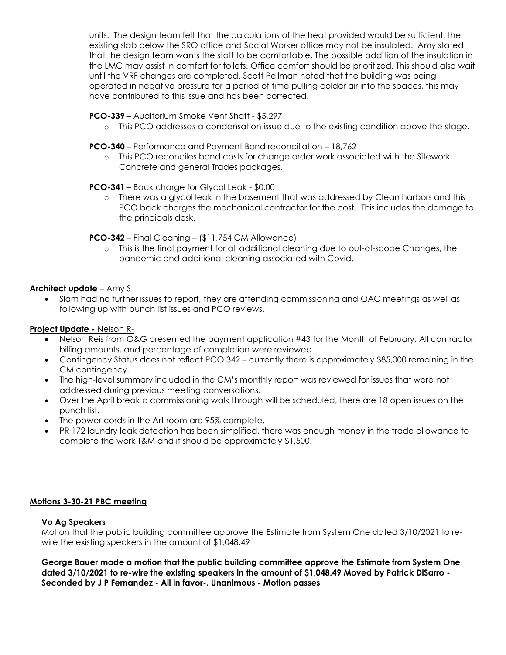units. The design team felt that the calculations of the heat provided would be sufficient, the existing slab below the SRO office and Social Worker office may not be insulated. Amy stated that the design team wants the staff to be comfortable. The possible addition of the insulation in the LMC may assist in comfort for toilets. Office comfort should be prioritized. This should also wait until the VRF changes are completed. Scott Pellman noted that the building was being operated in negative pressure for a period of time pulling colder air into the spaces, this may have contributed to this issue and has been corrected.

# **PCO-339** – Auditorium Smoke Vent Shaft - \$5,297

o This PCO addresses a condensation issue due to the existing condition above the stage.

### **PCO-340** – Performance and Payment Bond reconciliation – 18,762

o This PCO reconciles bond costs for change order work associated with the Sitework, Concrete and general Trades packages.

### **PCO-341** – Back charge for Glycol Leak - \$0.00

o There was a glycol leak in the basement that was addressed by Clean harbors and this PCO back charges the mechanical contractor for the cost. This includes the damage to the principals desk.

### **PCO-342** – Final Cleaning – (\$11,754 CM Allowance)

o This is the final payment for all additional cleaning due to out-of-scope Changes, the pandemic and additional cleaning associated with Covid.

### **Architect update** – Amy S

• Slam had no further issues to report, they are attending commissioning and OAC meetings as well as following up with punch list issues and PCO reviews.

# **Project Update -** Nelson R-

- Nelson Reis from O&G presented the payment application #43 for the Month of February. All contractor billing amounts, and percentage of completion were reviewed
- Contingency Status does not reflect PCO 342 currently there is approximately \$85,000 remaining in the CM contingency.
- The high-level summary included in the CM's monthly report was reviewed for issues that were not addressed during previous meeting conversations.
- Over the April break a commissioning walk through will be scheduled, there are 18 open issues on the punch list.
- The power cords in the Art room are 95% complete.
- PR 172 laundry leak detection has been simplified, there was enough money in the trade allowance to complete the work T&M and it should be approximately \$1,500.

### **Motions 3-30-21 PBC meeting**

### **Vo Ag Speakers**

Motion that the public building committee approve the Estimate from System One dated 3/10/2021 to rewire the existing speakers in the amount of \$1,048.49

**George Bauer made a motion that the public building committee approve the Estimate from System One dated 3/10/2021 to re-wire the existing speakers in the amount of \$1,048.49 Moved by Patrick DiSarro - Seconded by J P Fernandez - All in favor-. Unanimous - Motion passes**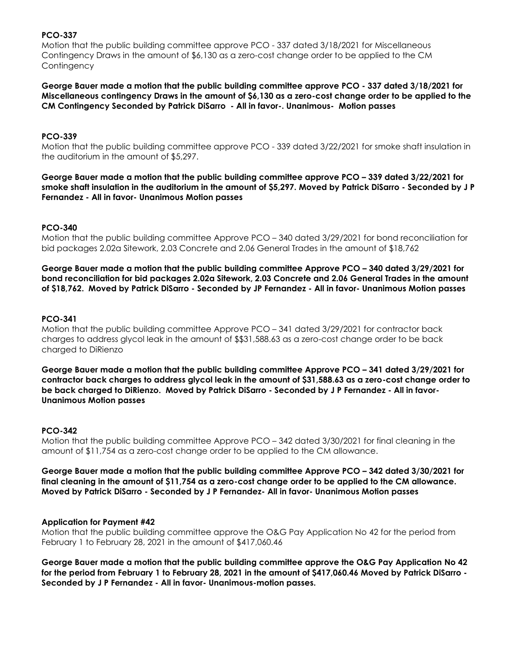# **PCO-337**

Motion that the public building committee approve PCO - 337 dated 3/18/2021 for Miscellaneous Contingency Draws in the amount of \$6,130 as a zero-cost change order to be applied to the CM **Contingency** 

**George Bauer made a motion that the public building committee approve PCO - 337 dated 3/18/2021 for Miscellaneous contingency Draws in the amount of \$6,130 as a zero-cost change order to be applied to the CM Contingency Seconded by Patrick DiSarro - All in favor-. Unanimous- Motion passes**

### **PCO-339**

Motion that the public building committee approve PCO - 339 dated 3/22/2021 for smoke shaft insulation in the auditorium in the amount of \$5,297.

**George Bauer made a motion that the public building committee approve PCO – 339 dated 3/22/2021 for smoke shaft insulation in the auditorium in the amount of \$5,297. Moved by Patrick DiSarro - Seconded by J P Fernandez - All in favor- Unanimous Motion passes**

# **PCO-340**

Motion that the public building committee Approve PCO – 340 dated 3/29/2021 for bond reconciliation for bid packages 2.02a Sitework, 2.03 Concrete and 2.06 General Trades in the amount of \$18,762

**George Bauer made a motion that the public building committee Approve PCO – 340 dated 3/29/2021 for bond reconciliation for bid packages 2.02a Sitework, 2.03 Concrete and 2.06 General Trades in the amount of \$18,762. Moved by Patrick DiSarro - Seconded by JP Fernandez - All in favor- Unanimous Motion passes**

# **PCO-341**

Motion that the public building committee Approve PCO – 341 dated 3/29/2021 for contractor back charges to address glycol leak in the amount of \$\$31,588.63 as a zero-cost change order to be back charged to DiRienzo

**George Bauer made a motion that the public building committee Approve PCO – 341 dated 3/29/2021 for contractor back charges to address glycol leak in the amount of \$31,588.63 as a zero-cost change order to be back charged to DiRienzo. Moved by Patrick DiSarro - Seconded by J P Fernandez - All in favor-Unanimous Motion passes**

### **PCO-342**

Motion that the public building committee Approve PCO – 342 dated 3/30/2021 for final cleaning in the amount of \$11,754 as a zero-cost change order to be applied to the CM allowance.

**George Bauer made a motion that the public building committee Approve PCO – 342 dated 3/30/2021 for final cleaning in the amount of \$11,754 as a zero-cost change order to be applied to the CM allowance. Moved by Patrick DiSarro - Seconded by J P Fernandez- All in favor- Unanimous Motion passes**

### **Application for Payment #42**

Motion that the public building committee approve the O&G Pay Application No 42 for the period from February 1 to February 28, 2021 in the amount of \$417,060.46

**George Bauer made a motion that the public building committee approve the O&G Pay Application No 42 for the period from February 1 to February 28, 2021 in the amount of \$417,060.46 Moved by Patrick DiSarro - Seconded by J P Fernandez - All in favor- Unanimous-motion passes.**